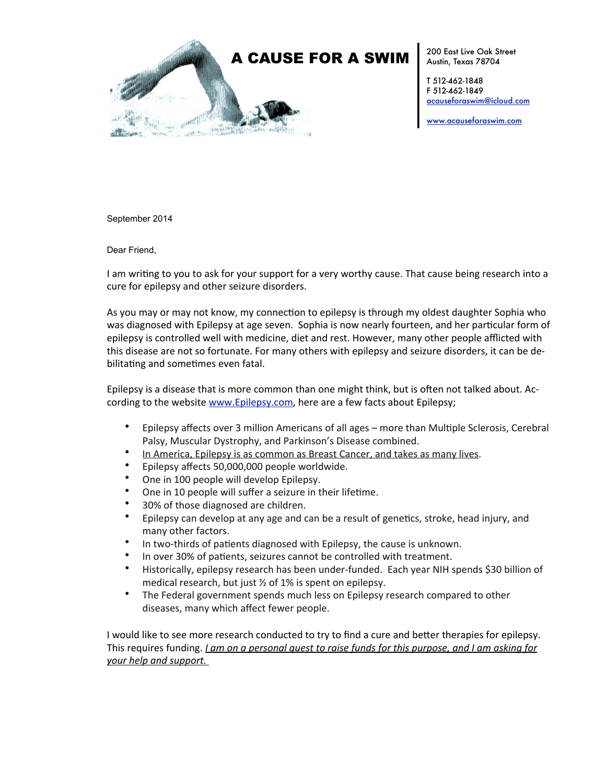

200 East Live Oak Street Austin, Texas 78704

T 512-462-1848 F 512-462-1849 [acauseforaswim@icloud.com](mailto:acauseforaswim@icloud.com)

[www.acauseforaswim.com](http://www.acauseforaswim.com)

September 2014

Dear Friend,

I am writing to you to ask for your support for a very worthy cause. That cause being research into a cure for epilepsy and other seizure disorders.

As you may or may not know, my connection to epilepsy is through my oldest daughter Sophia who was diagnosed with Epilepsy at age seven. Sophia is now nearly fourteen, and her particular form of epilepsy is controlled well with medicine, diet and rest. However, many other people afflicted with this disease are not so fortunate. For many others with epilepsy and seizure disorders, it can be debilitating and sometimes even fatal.

Epilepsy is a disease that is more common than one might think, but is often not talked about. According to the website www.Epilepsy.com, here are a few facts about Epilepsy;

- Epilepsy affects over 3 million Americans of all ages more than Multiple Sclerosis, Cerebral Palsy, Muscular Dystrophy, and Parkinson's Disease combined.
- In America, Epilepsy is as common as Breast Cancer, and takes as many lives.
- Epilepsy affects 50,000,000 people worldwide.
- One in 100 people will develop Epilepsy.
- One in 10 people will suffer a seizure in their lifetime.
- 30% of those diagnosed are children.
- Epilepsy can develop at any age and can be a result of genetics, stroke, head injury, and many other factors.
- In two-thirds of patients diagnosed with Epilepsy, the cause is unknown.
- In over 30% of patients, seizures cannot be controlled with treatment.
- Historically, epilepsy research has been under-funded. Each year NIH spends \$30 billion of medical research, but just  $\frac{1}{2}$  of 1% is spent on epilepsy.
- The Federal government spends much less on Epilepsy research compared to other diseases, many which affect fewer people.

I would like to see more research conducted to try to find a cure and better therapies for epilepsy. This requires funding. *I am on a personal quest to raise funds for this purpose, and I am asking for <u>your help and support.</u>*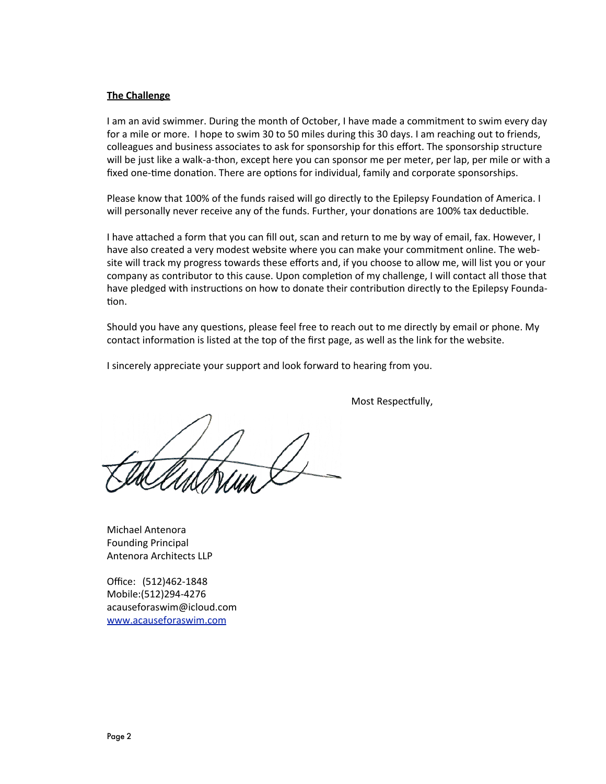## **The Challenge**

I am an avid swimmer. During the month of October, I have made a commitment to swim every day for a mile or more. I hope to swim 30 to 50 miles during this 30 days. I am reaching out to friends, colleagues and business associates to ask for sponsorship for this effort. The sponsorship structure will be just like a walk-a-thon, except here you can sponsor me per meter, per lap, per mile or with a fixed one-time donation. There are options for individual, family and corporate sponsorships.

Please know that 100% of the funds raised will go directly to the Epilepsy Foundation of America. I will personally never receive any of the funds. Further, your donations are 100% tax deductible.

I have attached a form that you can fill out, scan and return to me by way of email, fax. However, I have also created a very modest website where you can make your commitment online. The website will track my progress towards these efforts and, if you choose to allow me, will list you or your company as contributor to this cause. Upon completion of my challenge, I will contact all those that have pledged with instructions on how to donate their contribution directly to the Epilepsy Foundation.

Should you have any questions, please feel free to reach out to me directly by email or phone. My contact information is listed at the top of the first page, as well as the link for the website.

I sincerely appreciate your support and look forward to hearing from you.

Most Respectfully,

Michael Antenora Founding Principal Antenora Architects LLP

Office: (512)462-1848 Mobile:(512)294-4276 acauseforaswim@icloud.com [www.acauseforaswim.com](http://www.acauseforaswim.com)